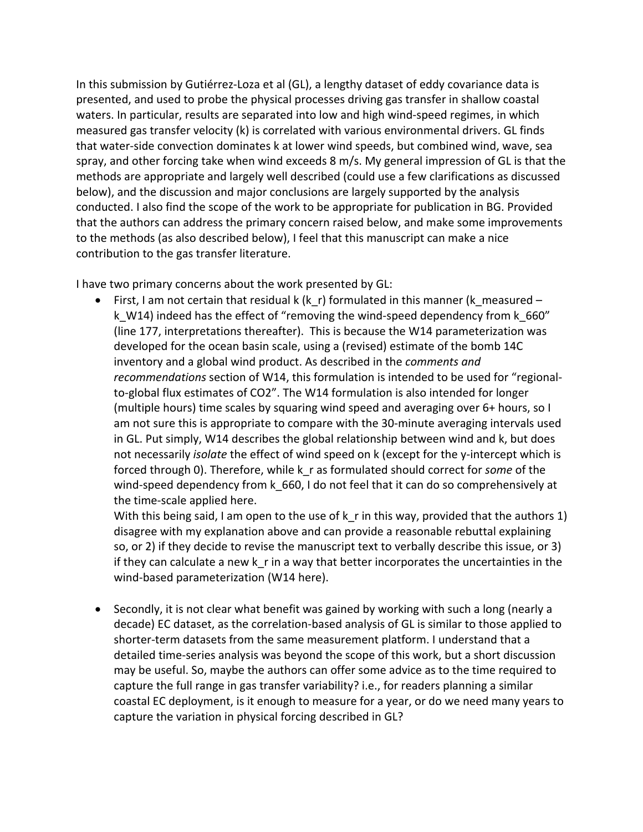In this submission by Gutiérrez-Loza et al (GL), a lengthy dataset of eddy covariance data is presented, and used to probe the physical processes driving gas transfer in shallow coastal waters. In particular, results are separated into low and high wind-speed regimes, in which measured gas transfer velocity (k) is correlated with various environmental drivers. GL finds that water-side convection dominates k at lower wind speeds, but combined wind, wave, sea spray, and other forcing take when wind exceeds 8 m/s. My general impression of GL is that the methods are appropriate and largely well described (could use a few clarifications as discussed below), and the discussion and major conclusions are largely supported by the analysis conducted. I also find the scope of the work to be appropriate for publication in BG. Provided that the authors can address the primary concern raised below, and make some improvements to the methods (as also described below), I feel that this manuscript can make a nice contribution to the gas transfer literature.

I have two primary concerns about the work presented by GL:

• First, I am not certain that residual k (k\_r) formulated in this manner (k\_measured – k W14) indeed has the effect of "removing the wind-speed dependency from k 660" (line 177, interpretations thereafter). This is because the W14 parameterization was developed for the ocean basin scale, using a (revised) estimate of the bomb 14C inventory and a global wind product. As described in the *comments and recommendations* section of W14, this formulation is intended to be used for "regionalto-global flux estimates of CO2". The W14 formulation is also intended for longer (multiple hours) time scales by squaring wind speed and averaging over 6+ hours, so I am not sure this is appropriate to compare with the 30-minute averaging intervals used in GL. Put simply, W14 describes the global relationship between wind and k, but does not necessarily *isolate* the effect of wind speed on k (except for the y-intercept which is forced through 0). Therefore, while k\_r as formulated should correct for *some* of the wind-speed dependency from k 660, I do not feel that it can do so comprehensively at the time-scale applied here.

With this being said, I am open to the use of  $k$  r in this way, provided that the authors 1) disagree with my explanation above and can provide a reasonable rebuttal explaining so, or 2) if they decide to revise the manuscript text to verbally describe this issue, or 3) if they can calculate a new k r in a way that better incorporates the uncertainties in the wind-based parameterization (W14 here).

• Secondly, it is not clear what benefit was gained by working with such a long (nearly a decade) EC dataset, as the correlation-based analysis of GL is similar to those applied to shorter-term datasets from the same measurement platform. I understand that a detailed time-series analysis was beyond the scope of this work, but a short discussion may be useful. So, maybe the authors can offer some advice as to the time required to capture the full range in gas transfer variability? i.e., for readers planning a similar coastal EC deployment, is it enough to measure for a year, or do we need many years to capture the variation in physical forcing described in GL?